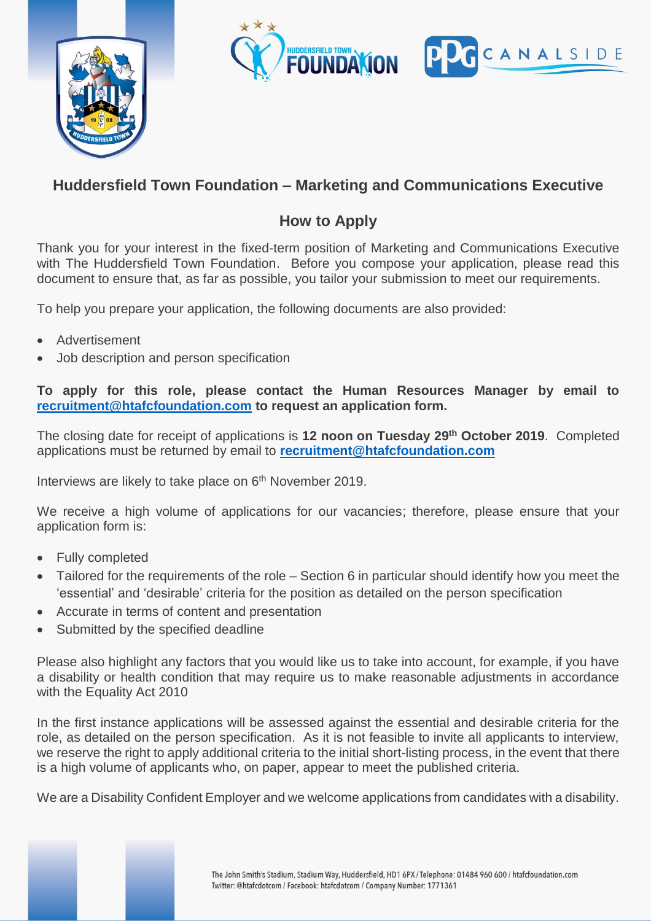



## **Huddersfield Town Foundation – Marketing and Communications Executive**

## **How to Apply**

Thank you for your interest in the fixed-term position of Marketing and Communications Executive with The Huddersfield Town Foundation. Before you compose your application, please read this document to ensure that, as far as possible, you tailor your submission to meet our requirements.

To help you prepare your application, the following documents are also provided:

- Advertisement
- Job description and person specification

**To apply for this role, please contact the Human Resources Manager by email to [recruitment@htafcfoundation.com](mailto:recruitment@htafcfoundation.com) to request an application form.**

The closing date for receipt of applications is **12 noon on Tuesday 29th October 2019**. Completed applications must be returned by email to **[recruitment@htafcfoundation.com](mailto:recruitment@htafcfoundation.com)**

Interviews are likely to take place on 6<sup>th</sup> November 2019.

We receive a high volume of applications for our vacancies; therefore, please ensure that your application form is:

- Fully completed
- Tailored for the requirements of the role Section 6 in particular should identify how you meet the 'essential' and 'desirable' criteria for the position as detailed on the person specification
- Accurate in terms of content and presentation
- Submitted by the specified deadline

Please also highlight any factors that you would like us to take into account, for example, if you have a disability or health condition that may require us to make reasonable adjustments in accordance with the Equality Act 2010

In the first instance applications will be assessed against the essential and desirable criteria for the role, as detailed on the person specification. As it is not feasible to invite all applicants to interview, we reserve the right to apply additional criteria to the initial short-listing process, in the event that there is a high volume of applicants who, on paper, appear to meet the published criteria.

We are a Disability Confident Employer and we welcome applications from candidates with a disability.